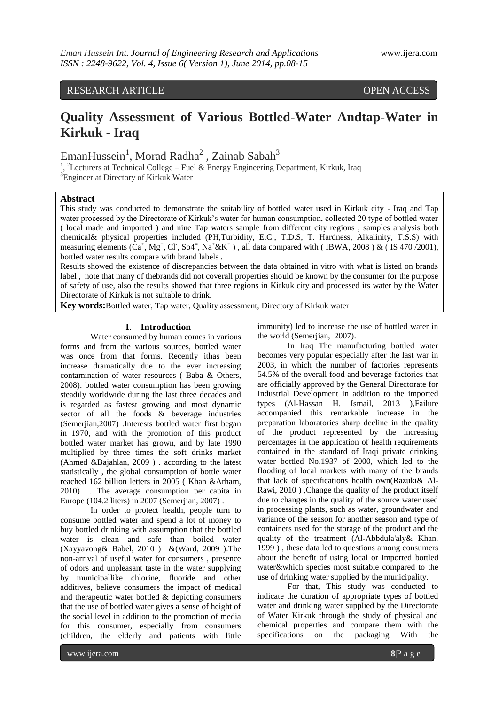RESEARCH ARTICLE OPEN ACCESS

# **Quality Assessment of Various Bottled-Water Andtap-Water in Kirkuk - Iraq**

EmanHussein<sup>1</sup>, Morad Radha<sup>2</sup>, Zainab Sabah<sup>3</sup>

<sup>1</sup>, <sup>2</sup>Lecturers at Technical College – Fuel & Energy Engineering Department, Kirkuk, Iraq <sup>3</sup>Engineer at Directory of Kirkuk Water

## **Abstract**

This study was conducted to demonstrate the suitability of bottled water used in Kirkuk city - Iraq and Tap water processed by the Directorate of Kirkuk's water for human consumption, collected 20 type of bottled water ( local made and imported ) and nine Tap waters sample from different city regions , samples analysis both chemical& physical properties included (PH,Turbidity, E.C., T.D.S, T. Hardness, Alkalinity, T.S.S) with measuring elements  $(Ca^+, Mg^+, CI, So4^-, Na^+ \& K^+)$ , all data compared with (IBWA, 2008) & (IS 470/2001), bottled water results compare with brand labels .

Results showed the existence of discrepancies between the data obtained in vitro with what is listed on brands label , note that many of thebrands did not coverall properties should be known by the consumer for the purpose of safety of use, also the results showed that three regions in Kirkuk city and processed its water by the Water Directorate of Kirkuk is not suitable to drink.

**Key words:**Bottled water, Tap water, Quality assessment, Directory of Kirkuk water

## **I. Introduction**

Water consumed by human comes in various forms and from the various sources, bottled water was once from that forms. Recently ithas been increase dramatically due to the ever increasing contamination of water resources ( Baba & Others, 2008). bottled water consumption has been growing steadily worldwide during the last three decades and is regarded as fastest growing and most dynamic sector of all the foods & beverage industries (Semerjian,2007) .Interests bottled water first began in 1970, and with the promotion of this product bottled water market has grown, and by late 1990 multiplied by three times the soft drinks market (Ahmed &Bajahlan, 2009 ) . according to the latest statistically , the global consumption of bottle water reached 162 billion letters in 2005 ( Khan &Arham, 2010) . The average consumption per capita in Europe (104.2 liters) in 2007 (Semerjian, 2007) .

In order to protect health, people turn to consume bottled water and spend a lot of money to buy bottled drinking with assumption that the bottled water is clean and safe than boiled water (Xayyavong& Babel, 2010 ) &(Ward, 2009 ).The non-arrival of useful water for consumers , presence of odors and unpleasant taste in the water supplying by municipallike chlorine, fluoride and other additives, believe consumers the impact of medical and therapeutic water bottled & depicting consumers that the use of bottled water gives a sense of height of the social level in addition to the promotion of media for this consumer, especially from consumers (children, the elderly and patients with little

immunity) led to increase the use of bottled water in the world (Semeriian, 2007).

In Iraq The manufacturing bottled water becomes very popular especially after the last war in 2003, in which the number of factories represents 54.5% of the overall food and beverage factories that are officially approved by the General Directorate for Industrial Development in addition to the imported types (Al-Hassan H. Ismail, 2013 ),Failure accompanied this remarkable increase in the preparation laboratories sharp decline in the quality of the product represented by the increasing percentages in the application of health requirements contained in the standard of Iraqi private drinking water bottled No.1937 of 2000, which led to the flooding of local markets with many of the brands that lack of specifications health own(Razuki& Al-Rawi, 2010 ) ,Change the quality of the product itself due to changes in the quality of the source water used in processing plants, such as water, groundwater and variance of the season for another season and type of containers used for the storage of the product and the quality of the treatment (Al-Abbdula'aly& Khan, 1999 ) , these data led to questions among consumers about the benefit of using local or imported bottled water&which species most suitable compared to the use of drinking water supplied by the municipality.

For that, This study was conducted to indicate the duration of appropriate types of bottled water and drinking water supplied by the Directorate of Water Kirkuk through the study of physical and chemical properties and compare them with the specifications on the packaging With the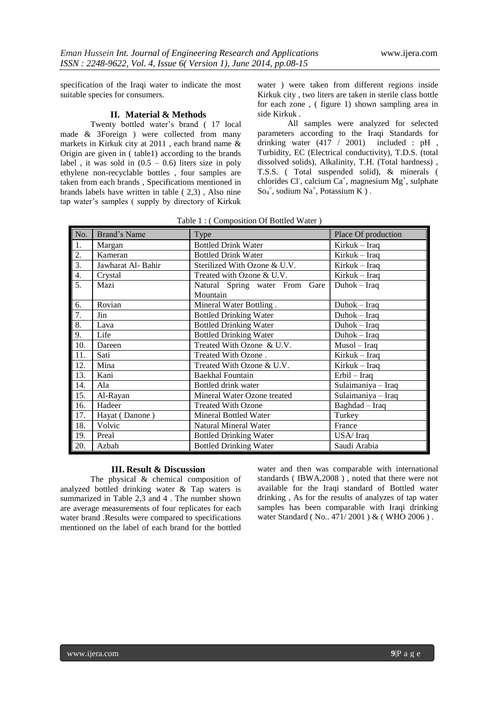specification of the Iraqi water to indicate the most suitable species for consumers.

## **II. Material & Methods**

Twenty bottled water's brand ( 17 local made & 3Foreign ) were collected from many markets in Kirkuk city at 2011 , each brand name & Origin are given in ( table1) according to the brands label, it was sold in  $(0.5 - 0.6)$  liters size in poly ethylene non-recyclable bottles , four samples are taken from each brands , Specifications mentioned in brands labels have written in table ( 2,3) , Also nine tap water's samples ( supply by directory of Kirkuk

water ) were taken from different regions inside Kirkuk city , two liters are taken in sterile class bottle for each zone , ( figure 1) shown sampling area in side Kirkuk .

All samples were analyzed for selected parameters according to the Iraqi Standards for drinking water  $(417 / 2001)$  included : pH, Turbidity, EC (Electrical conductivity), T.D.S. (total dissolved solids), Alkalinity, T.H. (Total hardness) , T.S.S. ( Total suspended solid), & minerals ( chlorides Cl, calcium Ca<sup>+</sup>, magnesium  $Mg^+$ , sulphate  $\text{So}_4$ <sup>=</sup>, sodium Na<sup>+</sup>, Potassium K).

| Table 1: (Composition Of Bottled Water) |
|-----------------------------------------|
|-----------------------------------------|

| No.              | Brand's Name      | Type                           | Place Of production |  |  |  |
|------------------|-------------------|--------------------------------|---------------------|--|--|--|
| 1.               | Margan            | <b>Bottled Drink Water</b>     | Kirkuk – Iraq       |  |  |  |
| 2.               | Kameran           | <b>Bottled Drink Water</b>     | Kirkuk – Iraq       |  |  |  |
| $\overline{3}$ . | Jawharat Al-Bahir | Sterilized With Ozone & U.V.   | Kirkuk – Iraq       |  |  |  |
| 4.               | Crystal           | Treated with Ozone & U.V.      | Kirkuk – Iraq       |  |  |  |
| 5.               | Mazi              | Natural Spring water From Gare | Duhok - Iraq        |  |  |  |
|                  |                   | Mountain                       |                     |  |  |  |
| 6.               | Rovian            | Mineral Water Bottling.        | Duhok - Iraq        |  |  |  |
| 7.               | Jin               | <b>Bottled Drinking Water</b>  | Duhok – Iraq        |  |  |  |
| 8.               | Lava              | <b>Bottled Drinking Water</b>  | Duhok - Iraq        |  |  |  |
| 9.               | Life              | <b>Bottled Drinking Water</b>  | $Duhok - Iraq$      |  |  |  |
| 10.              | Dareen            | Treated With Ozone & U.V.      | $Musol-Iraq$        |  |  |  |
| 11.              | Sati              | Treated With Ozone.            | Kirkuk – Iraq       |  |  |  |
| 12.              | Mina              | Treated With Ozone & U.V.      | Kirkuk – Iraq       |  |  |  |
| 13.              | Kani              | <b>Baekhal Fountain</b>        | $Erbil - Iraq$      |  |  |  |
| 14.              | Ala               | Bottled drink water            | Sulaimaniya - Iraq  |  |  |  |
| 15.              | Al-Rayan          | Mineral Water Ozone treated    | Sulaimaniya - Iraq  |  |  |  |
| 16.              | Hadeer            | <b>Treated With Ozone</b>      | Baghdad - Iraq      |  |  |  |
| 17.              | Hayat (Danone)    | <b>Mineral Bottled Water</b>   | Turkey              |  |  |  |
| 18.              | Volvic            | Natural Mineral Water          | France              |  |  |  |
| 19.              | Preal             | <b>Bottled Drinking Water</b>  | USA/Iraq            |  |  |  |
| 20.              | Azbah             | <b>Bottled Drinking Water</b>  | Saudi Arabia        |  |  |  |

### **III. Result & Discussion**

The physical & chemical composition of analyzed bottled drinking water & Tap waters is summarized in Table 2,3 and 4 . The number shown are average measurements of four replicates for each water brand .Results were compared to specifications mentioned on the label of each brand for the bottled

water and then was comparable with international standards ( IBWA,2008 ) , noted that there were not available for the Iraqi standard of Bottled water drinking , As for the results of analyzes of tap water samples has been comparable with Iraqi drinking water Standard ( No., 471/2001 ) & ( WHO 2006 ).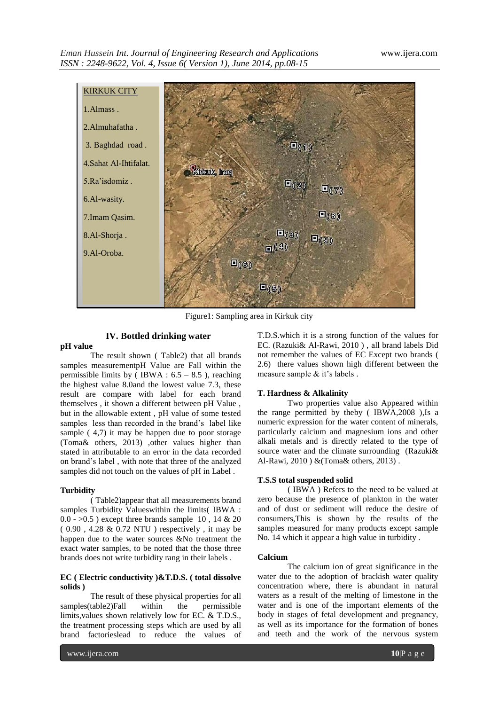

Figure1: Sampling area in Kirkuk city

## **IV. Bottled drinking water**

## **pH value**

The result shown ( Table2) that all brands samples measurementpH Value are Fall within the permissible limits by  $\overline{O(BWA : 6.5 - 8.5)}$ , reaching the highest value 8.0and the lowest value 7.3, these result are compare with label for each brand themselves , it shown a different between pH Value , but in the allowable extent , pH value of some tested samples less than recorded in the brand's label like sample ( 4,7) it may be happen due to poor storage (Toma& others, 2013) ,other values higher than stated in attributable to an error in the data recorded on brand's label , with note that three of the analyzed samples did not touch on the values of pH in Label .

## **Turbidity**

( Table2)appear that all measurements brand samples Turbidity Valueswithin the limits( IBWA :  $0.0 - 0.5$  ) except three brands sample 10, 14 & 20 ( 0.90 , 4.28 & 0.72 NTU ) respectively , it may be happen due to the water sources &No treatment the exact water samples, to be noted that the those three brands does not write turbidity rang in their labels .

## **EC ( Electric conductivity )&T.D.S. ( total dissolve solids )**

The result of these physical properties for all samples(table2)Fall within the permissible limits,values shown relatively low for EC. & T.D.S., the treatment processing steps which are used by all brand factorieslead to reduce the values of T.D.S.which it is a strong function of the values for EC. (Razuki& Al-Rawi, 2010 ) , all brand labels Did not remember the values of EC Except two brands ( 2.6) there values shown high different between the measure sample & it's labels .

## **T. Hardness & Alkalinity**

Two properties value also Appeared within the range permitted by theby ( IBWA,2008 ),Is a numeric expression for the water content of minerals, particularly calcium and magnesium ions and other alkali metals and is directly related to the type of source water and the climate surrounding (Razuki& Al-Rawi, 2010 ) &(Toma& others, 2013) .

## **T.S.S total suspended solid**

( IBWA ) Refers to the need to be valued at zero because the presence of plankton in the water and of dust or sediment will reduce the desire of consumers,This is shown by the results of the samples measured for many products except sample No. 14 which it appear a high value in turbidity .

## **Calcium**

The calcium ion of great significance in the water due to the adoption of brackish water quality concentration where, there is abundant in natural waters as a result of the melting of limestone in the water and is one of the important elements of the body in stages of fetal development and pregnancy, as well as its importance for the formation of bones and teeth and the work of the nervous system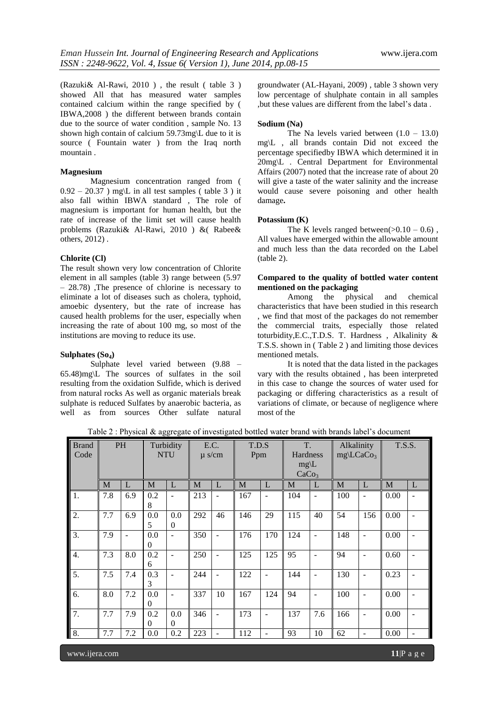(Razuki& Al-Rawi, 2010 ) , the result ( table 3 ) showed All that has measured water samples contained calcium within the range specified by ( IBWA,2008 ) the different between brands contain due to the source of water condition , sample No. 13 shown high contain of calcium 59.73mg\L due to it is source ( Fountain water ) from the Iraq north mountain .

## **Magnesium**

Magnesium concentration ranged from (  $0.92 - 20.37$ ) mg\L in all test samples ( table 3) it also fall within IBWA standard , The role of magnesium is important for human health, but the rate of increase of the limit set will cause health problems (Razuki& Al-Rawi, 2010 ) &( Rabee& others, 2012) .

#### **Chlorite (Cl)**

The result shown very low concentration of Chlorite element in all samples (table 3) range between (5.97 – 28.78) ,The presence of chlorine is necessary to eliminate a lot of diseases such as cholera, typhoid, amoebic dysentery, but the rate of increase has caused health problems for the user, especially when increasing the rate of about 100 mg, so most of the institutions are moving to reduce its use.

## **Sulphates (So4)**

Sulphate level varied between (9.88 – 65.48)mg\L The sources of sulfates in the soil resulting from the oxidation Sulfide, which is derived from natural rocks As well as organic materials break sulphate is reduced Sulfates by anaerobic bacteria, as well as from sources Other sulfate natural groundwater (AL-Hayani, 2009) , table 3 shown very low percentage of shulphate contain in all samples ,but these values are different from the label's data .

#### **Sodium (Na)**

The Na levels varied between  $(1.0 - 13.0)$ mg\L , all brands contain Did not exceed the percentage specifiedby IBWA which determined it in 20mg\L . Central Department for Environmental Affairs (2007) noted that the increase rate of about 20 will give a taste of the water salinity and the increase would cause severe poisoning and other health damage**.**

#### **Potassium (K)**

The K levels ranged between( $>0.10 - 0.6$ ), All values have emerged within the allowable amount and much less than the data recorded on the Label (table 2).

## **Compared to the quality of bottled water content mentioned on the packaging<br>Among** the phys

physical and chemical characteristics that have been studied in this research , we find that most of the packages do not remember the commercial traits, especially those related toturbidity,E.C.,T.D.S. T. Hardness , Alkalinity & T.S.S. shown in ( Table 2 ) and limiting those devices mentioned metals.

It is noted that the data listed in the packages vary with the results obtained , has been interpreted in this case to change the sources of water used for packaging or differing characteristics as a result of variations of climate, or because of negligence where most of the

Table 2 : Physical & aggregate of investigated bottled water brand with brands label's document

| <b>Brand</b><br>Code | <b>PH</b> |                |                 |                          |     |    | Turbidity<br><b>NTU</b> |                          | E.C. | $\mu$ s/cm     | T.D.S<br>Ppm |                          | T.<br>Hardness<br>$mg\backslash L$<br>CaCo <sub>3</sub> |                          | Alkalinity<br>$mg\backslash LCaCo_3$ |  | <b>T.S.S.</b> |  |
|----------------------|-----------|----------------|-----------------|--------------------------|-----|----|-------------------------|--------------------------|------|----------------|--------------|--------------------------|---------------------------------------------------------|--------------------------|--------------------------------------|--|---------------|--|
|                      | M         | L              | M               | L                        | M   | L  | M                       | L                        | M    | L              | M            | L                        | M                                                       | L                        |                                      |  |               |  |
| 1.                   | 7.8       | 6.9            | 0.2<br>8        | $\overline{\phantom{a}}$ | 213 |    | 167                     | $\overline{\phantom{a}}$ | 104  | $\overline{a}$ | 100          |                          | 0.00                                                    |                          |                                      |  |               |  |
| 2.                   | 7.7       | 6.9            | 0.0<br>5        | 0.0<br>$\Omega$          | 292 | 46 | 146                     | 29                       | 115  | 40             | 54           | 156                      | 0.00                                                    |                          |                                      |  |               |  |
| 3.                   | 7.9       | $\overline{a}$ | 0.0<br>$\Omega$ |                          | 350 |    | 176                     | 170                      | 124  | $\overline{a}$ | 148          | ÷                        | 0.00                                                    | $\overline{\phantom{a}}$ |                                      |  |               |  |
| $\overline{4}$ .     | 7.3       | 8.0            | 0.2<br>6        | $\overline{\phantom{a}}$ | 250 |    | 125                     | 125                      | 95   | ۰              | 94           | ۰                        | 0.60                                                    |                          |                                      |  |               |  |
| $\overline{5}$ .     | 7.5       | 7.4            | 0.3<br>3        | $\blacksquare$           | 244 |    | 122                     | $\overline{\phantom{a}}$ | 144  | -              | 130          | -                        | 0.23                                                    |                          |                                      |  |               |  |
| 6.                   | 8.0       | 7.2            | 0.0<br>0        |                          | 337 | 10 | 167                     | 124                      | 94   |                | 100          |                          | 0.00                                                    |                          |                                      |  |               |  |
| 7.                   | 7.7       | 7.9            | 0.2<br>0        | 0.0<br>$\Omega$          | 346 |    | 173                     | ۰                        | 137  | 7.6            | 166          | ۰                        | 0.00                                                    |                          |                                      |  |               |  |
| 8.                   | 7.7       | 7.2            | 0.0             | 0.2                      | 223 | ۰  | 112                     | ۰                        | 93   | 10             | 62           | $\overline{\phantom{0}}$ | 0.00                                                    | $\qquad \qquad -$        |                                      |  |               |  |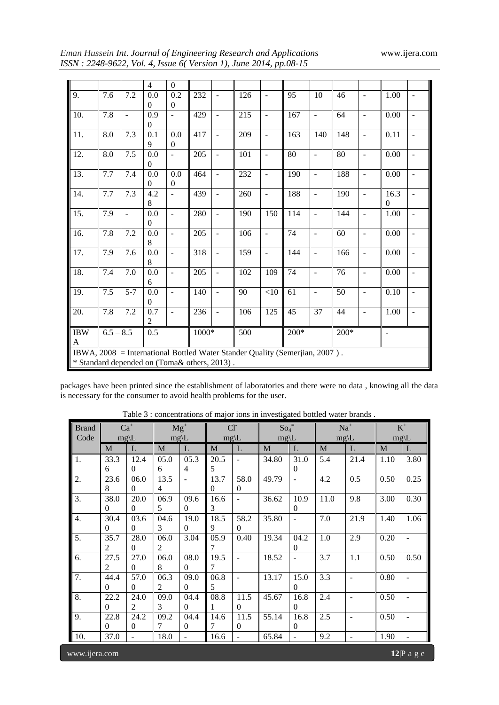| Eman Hussein Int. Journal of Engineering Research and Applications |
|--------------------------------------------------------------------|
| ISSN: 2248-9622, Vol. 4, Issue 6(Version 1), June 2014, pp.08-15   |

| $\overline{4}$<br>$\Omega$<br>9.<br>7.2<br>0.0<br>232<br>10<br>46<br>1.00<br>7.6<br>0.2<br>126<br>95<br>$\overline{\phantom{a}}$<br>$\sim$<br>$\blacksquare$<br>$\blacksquare$<br>$\Omega$<br>$\Omega$                     |
|----------------------------------------------------------------------------------------------------------------------------------------------------------------------------------------------------------------------------|
|                                                                                                                                                                                                                            |
|                                                                                                                                                                                                                            |
|                                                                                                                                                                                                                            |
| 10.<br>7.8<br>0.9<br>215<br>167<br>64<br>0.00<br>429<br>$\overline{a}$<br>$\overline{\phantom{a}}$<br>$\blacksquare$<br>$\blacksquare$<br>$\overline{\phantom{a}}$<br>$\overline{\phantom{a}}$<br>$\overline{\phantom{a}}$ |
| $\Omega$                                                                                                                                                                                                                   |
| 11.<br>7.3<br>0.1<br>209<br>148<br>8.0<br>0.0<br>417<br>163<br>140<br>0.11<br>$\overline{\phantom{a}}$<br>$\overline{\phantom{a}}$<br>$\blacksquare$<br>$\overline{\phantom{m}}$                                           |
| 9<br>$\overline{0}$                                                                                                                                                                                                        |
| 12.<br>7.5<br>0.0<br>80<br>8.0<br>205<br>101<br>80<br>0.00<br>÷,<br>$\blacksquare$<br>$\overline{\phantom{a}}$<br>$\blacksquare$<br>$\overline{\phantom{a}}$<br>$\overline{\phantom{a}}$                                   |
| $\Omega$                                                                                                                                                                                                                   |
| 13.<br>7.7<br>7.4<br>0.0<br>464<br>232<br>190<br>188<br>0.00<br>0.0<br>$\overline{\phantom{a}}$<br>$\overline{\phantom{a}}$<br>$\overline{\phantom{a}}$<br>$\overline{\phantom{a}}$<br>$\overline{\phantom{a}}$            |
| $\Omega$<br>$\Omega$                                                                                                                                                                                                       |
| 14.<br>7.7<br>7.3<br>4.2<br>188<br>190<br>16.3<br>439<br>260<br>$\overline{\phantom{a}}$<br>$\blacksquare$<br>$\blacksquare$<br>$\blacksquare$<br>$\overline{\phantom{a}}$<br>$\overline{\phantom{a}}$                     |
| 8<br>$\Omega$                                                                                                                                                                                                              |
| 7.9<br>15.<br>0.0<br>280<br>114<br>144<br>190<br>150<br>1.00<br>$\overline{\phantom{a}}$<br>$\frac{1}{2}$<br>$\overline{a}$<br>$\overline{\phantom{a}}$<br>$\overline{\phantom{a}}$<br>$\overline{\phantom{a}}$            |
| $\Omega$                                                                                                                                                                                                                   |
| 16.<br>7.8<br>7.2<br>0.0<br>74<br>205<br>106<br>60<br>0.00<br>$\overline{\phantom{a}}$<br>$\blacksquare$<br>$\blacksquare$<br>$\blacksquare$<br>$\overline{\phantom{a}}$<br>$\overline{\phantom{a}}$                       |
| 8                                                                                                                                                                                                                          |
| 7.9<br>0.0<br>318<br>159<br>144<br>17.<br>7.6<br>166<br>0.00<br>$\overline{\phantom{a}}$<br>$\overline{\phantom{a}}$<br>$\blacksquare$<br>$\blacksquare$<br>$\blacksquare$<br>$\overline{\phantom{a}}$                     |
| 8                                                                                                                                                                                                                          |
| 18.<br>7.0<br>0.0<br>74<br>76<br>7.4<br>205<br>102<br>0.00<br>109<br>÷,<br>$\blacksquare$<br>$\overline{\phantom{a}}$<br>$\blacksquare$<br>$\blacksquare$                                                                  |
| 6                                                                                                                                                                                                                          |
| 19.<br>$7.5$<br>$5 - 7$<br>50<br>0.0<br>61<br>0.10<br>140<br>90<br><10<br>$\overline{\phantom{a}}$<br>$\overline{\phantom{a}}$<br>$\blacksquare$<br>$\blacksquare$<br>$\overline{\phantom{a}}$                             |
| $\Omega$                                                                                                                                                                                                                   |
| 20.<br>0.7<br>37<br>7.8<br>7.2<br>236<br>106<br>125<br>45<br>44<br>1.00<br>$\overline{\phantom{a}}$<br>$\overline{\phantom{a}}$<br>$\blacksquare$<br>$\overline{\phantom{a}}$                                              |
| $\overline{2}$                                                                                                                                                                                                             |
| $\rm IBW$<br>0.5<br>$6.5 - 8.5$<br>1000*<br>500<br>$200*$<br>$200*$<br>$\overline{a}$                                                                                                                                      |
| A                                                                                                                                                                                                                          |
| IBWA, 2008 = International Bottled Water Stander Quality (Semerjian, 2007).                                                                                                                                                |
| * Standard depended on (Toma& others, 2013).                                                                                                                                                                               |

packages have been printed since the establishment of laboratories and there were no data , knowing all the data is necessary for the consumer to avoid health problems for the user.

| <b>Brand</b>     | $Ca+$        |                  |                  | $Mg^{+}$                 | $Cl^{-}$ |                          | $So_4$ <sup>=</sup> |                | $Na+$            |                          | $\mathbf{K}^+$   |                          |
|------------------|--------------|------------------|------------------|--------------------------|----------|--------------------------|---------------------|----------------|------------------|--------------------------|------------------|--------------------------|
| Code             |              | $mg\backslash L$ | $mg\backslash L$ |                          |          | $mg\backslash L$         | $mg\backslash L$    |                | $mg\backslash L$ |                          | $mg\backslash L$ |                          |
|                  | M            | L                | $\mathbf{M}$     | L                        | M        | L                        | M                   | L              | M                | $\mathbf{L}$             | M                | L                        |
| 1.               | 33.3         | 12.4             | 05.0             | 05.3                     | 20.5     | ÷,                       | 34.80               | 31.0           | 5.4              | 21.4                     | 1.10             | 3.80                     |
|                  | 6            | $\Omega$         | 6                | $\overline{4}$           | 5        |                          |                     | $\theta$       |                  |                          |                  |                          |
| 2.               | 23.6         | 06.0             | 13.5             | $\overline{\phantom{a}}$ | 13.7     | 58.0                     | 49.79               | $\overline{a}$ | 4.2              | 0.5                      | 0.50             | 0.25                     |
|                  | 8            | $\Omega$         | 4                |                          | 0        | $\mathbf{0}$             |                     |                |                  |                          |                  |                          |
| 3.               | 38.0         | 20.0             | 06.9             | 09.6                     | 16.6     | $\overline{\phantom{a}}$ | 36.62               | 10.9           | 11.0             | 9.8                      | 3.00             | 0.30                     |
|                  | $\theta$     | $\Omega$         | 5                | $\Omega$                 | 3        |                          |                     | 0              |                  |                          |                  |                          |
| 4.               | 30.4         | 03.6             | 04.6             | 19.0                     | 18.5     | 58.2                     | 35.80               | $\overline{a}$ | 7.0              | 21.9                     | 1.40             | 1.06                     |
|                  | $\mathbf{0}$ | $\overline{0}$   | 3                | $\mathbf{0}$             | 9        | $\mathbf{0}$             |                     |                |                  |                          |                  |                          |
| 5.               | 35.7         | 28.0             | 06.0             | 3.04                     | 05.9     | 0.40                     | 19.34               | 04.2           | 1.0              | 2.9                      | 0.20             | $\overline{\phantom{m}}$ |
|                  | 2            | $\overline{0}$   | 2                |                          | 7        |                          |                     | $\theta$       |                  |                          |                  |                          |
| 6.               | 27.5         | 27.0             | 06.0             | 08.0                     | 19.5     | ÷,                       | 18.52               |                | 3.7              | 1.1                      | 0.50             | 0.50                     |
|                  | 2            | $\Omega$         | 8                | $\Omega$                 | 7        |                          |                     |                |                  |                          |                  |                          |
| $\overline{7}$ . | 44.4         | 57.0             | 06.3             | 09.0                     | 06.8     | $\overline{\phantom{a}}$ | 13.17               | 15.0           | 3.3              | $\overline{\phantom{a}}$ | 0.80             | $\overline{\phantom{a}}$ |
|                  | $\theta$     | $\Omega$         | 2                | $\Omega$                 | 5        |                          |                     | $\Omega$       |                  |                          |                  |                          |
| $\overline{8}$ . | 22.2         | 24.0             | 09.0             | 04.4                     | 08.8     | 11.5                     | 45.67               | 16.8           | 2.4              | $\overline{\phantom{a}}$ | 0.50             | $\overline{a}$           |
|                  | $\theta$     | 2                | 3                | $\Omega$                 | 1        | $\Omega$                 |                     | $\theta$       |                  |                          |                  |                          |
| 9.               | 22.8         | 24.2             | 09.2             | 04.4                     | 14.6     | 11.5                     | 55.14               | 16.8           | 2.5              | $\overline{\phantom{a}}$ | 0.50             |                          |
|                  | $\theta$     | $\overline{0}$   | 7                | $\Omega$                 | 7        | $\mathbf{0}$             |                     | $\theta$       |                  |                          |                  |                          |
| 10.              | 37.0         |                  | 18.0             | $\overline{\phantom{a}}$ | 16.6     |                          | 65.84               | $\frac{1}{2}$  | 9.2              | $\overline{\phantom{a}}$ | 1.90             |                          |
| www.ijera.com    |              |                  |                  |                          |          |                          |                     |                |                  |                          |                  | $12 P$ a g e             |

Table 3 : concentrations of major ions in investigated bottled water brands .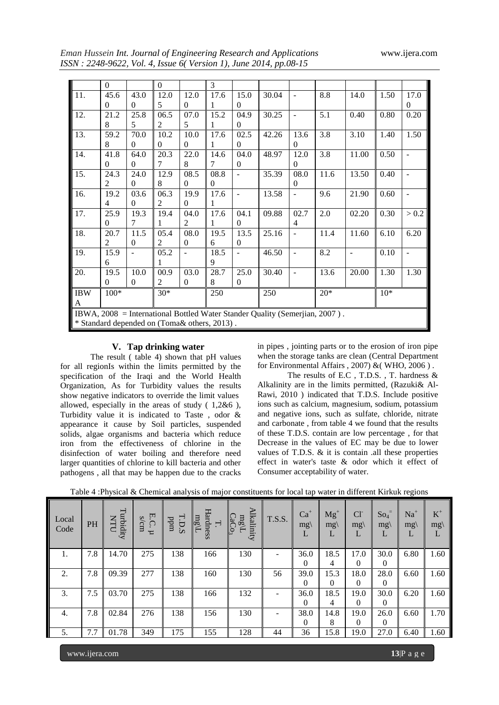*Eman Hussein Int. Journal of Engineering Research and Applications* www.ijera.com *ISSN : 2248-9622, Vol. 4, Issue 6( Version 1), June 2014, pp.08-15*

|            | $\Omega$       |          | $\Omega$                                     |          | 3              |          |                                                                             |                          |       |                |       |                |
|------------|----------------|----------|----------------------------------------------|----------|----------------|----------|-----------------------------------------------------------------------------|--------------------------|-------|----------------|-------|----------------|
| 11.        | 45.6           | 43.0     | 12.0                                         | 12.0     | 17.6           | 15.0     | 30.04                                                                       | $\overline{\phantom{a}}$ | 8.8   | 14.0           | 1.50  | 17.0           |
|            | $\Omega$       | $\Omega$ | 5                                            | $\Omega$ |                | $\Omega$ |                                                                             |                          |       |                |       | $\Omega$       |
| 12.        | 21.2           | 25.8     | 06.5                                         | 07.0     | 15.2           | 04.9     | 30.25                                                                       | $\blacksquare$           | 5.1   | 0.40           | 0.80  | 0.20           |
|            | 8              | 5        | $\mathfrak{D}$                               | 5        | 1              | $\Omega$ |                                                                             |                          |       |                |       |                |
| 13.        | 59.2           | 70.0     | 10.2                                         | 10.0     | 17.6           | 02.5     | 42.26                                                                       | 13.6                     | 3.8   | 3.10           | 1.40  | 1.50           |
|            | 8              | $\Omega$ | $\Omega$                                     | $\Omega$ | 1              | $\Omega$ |                                                                             | $\Omega$                 |       |                |       |                |
| 14.        | 41.8           | 64.0     | 20.3                                         | 22.0     | 14.6           | 04.0     | 48.97                                                                       | 12.0                     | 3.8   | 11.00          | 0.50  | $\overline{a}$ |
|            | $\Omega$       | $\Omega$ | 7                                            | 8        | $\overline{7}$ | $\Omega$ |                                                                             | $\Omega$                 |       |                |       |                |
| 15.        | 24.3           | 24.0     | 12.9                                         | 08.5     | 08.8           |          | 35.39                                                                       | 08.0                     | 11.6  | 13.50          | 0.40  | $\overline{a}$ |
|            | $\mathfrak{D}$ | $\Omega$ | 8                                            | $\Omega$ | $\Omega$       |          |                                                                             | $\Omega$                 |       |                |       |                |
| 16.        | 19.2           | 03.6     | 06.3                                         | 19.9     | 17.6           | ÷        | 13.58                                                                       | $\blacksquare$           | 9.6   | 21.90          | 0.60  | $\overline{a}$ |
|            | 4              | $\Omega$ | 2                                            | $\Omega$ | 1              |          |                                                                             |                          |       |                |       |                |
| 17.        | 25.9           | 19.3     | 19.4                                         | 04.0     | 17.6           | 04.1     | 09.88                                                                       | 02.7                     | 2.0   | 02.20          | 0.30  | > 0.2          |
|            | $\Omega$       | 7        |                                              | 2        | 1              | $\Omega$ |                                                                             | 4                        |       |                |       |                |
| 18.        | 20.7           | 11.5     | 05.4                                         | 08.0     | 19.5           | 13.5     | 25.16                                                                       | $\blacksquare$           | 11.4  | 11.60          | 6.10  | 6.20           |
|            | $\overline{2}$ | $\Omega$ | $\overline{c}$                               | 0        | 6              | $\Omega$ |                                                                             |                          |       |                |       |                |
| 19.        | 15.9           |          | 05.2                                         | ÷,       | 18.5           |          | 46.50                                                                       | $\overline{\phantom{a}}$ | 8.2   | $\overline{a}$ | 0.10  | $\overline{a}$ |
|            | 6              |          | 1                                            |          | 9              |          |                                                                             |                          |       |                |       |                |
| 20.        | 19.5           | 10.0     | 00.9                                         | 03.0     | 28.7           | 25.0     | 30.40                                                                       | $\overline{\phantom{a}}$ | 13.6  | 20.00          | 1.30  | 1.30           |
|            | $\Omega$       | $\Omega$ | $\overline{2}$                               | $\Omega$ | 8              | $\Omega$ |                                                                             |                          |       |                |       |                |
| <b>IBW</b> | $100*$         |          | $30*$                                        |          | 250            |          | 250                                                                         |                          | $20*$ |                | $10*$ |                |
| A          |                |          |                                              |          |                |          |                                                                             |                          |       |                |       |                |
|            |                |          |                                              |          |                |          | IBWA, 2008 = International Bottled Water Stander Quality (Semerjian, 2007). |                          |       |                |       |                |
|            |                |          | * Standard depended on (Toma& others, 2013). |          |                |          |                                                                             |                          |       |                |       |                |
|            |                |          |                                              |          |                |          |                                                                             |                          |       |                |       |                |

## **V. Tap drinking water**

The result ( table 4) shown that pH values for all regionIs within the limits permitted by the specification of the Iraqi and the World Health Organization, As for Turbidity values the results show negative indicators to override the limit values allowed, especially in the areas of study ( 1,2&6 ), Turbidity value it is indicated to Taste , odor & appearance it cause by Soil particles, suspended solids, algae organisms and bacteria which reduce iron from the effectiveness of chlorine in the disinfection of water boiling and therefore need larger quantities of chlorine to kill bacteria and other pathogens , all that may be happen due to the cracks

in pipes , jointing parts or to the erosion of iron pipe when the storage tanks are clean (Central Department for Environmental Affairs , 2007) &( WHO, 2006 ) .

The results of E.C , T.D.S. , T. hardness & Alkalinity are in the limits permitted, (Razuki& Al-Rawi, 2010 ) indicated that T.D.S. Include positive ions such as calcium, magnesium, sodium, potassium and negative ions, such as sulfate, chloride, nitrate and carbonate , from table 4 we found that the results of these T.D.S. contain are low percentage , for that Decrease in the values of EC may be due to lower values of T.D.S. & it is contain .all these properties effect in water's taste & odor which it effect of Consumer acceptability of water.

|               | Tavic + .i hysical & Chemical analysis of major constituents for local tap water in unferent Kirkuk regions |           |                     |                       |                        |                                |               |                           |                   |                                     |                                  |                           |                  |
|---------------|-------------------------------------------------------------------------------------------------------------|-----------|---------------------|-----------------------|------------------------|--------------------------------|---------------|---------------------------|-------------------|-------------------------------------|----------------------------------|---------------------------|------------------|
| Local<br>Code | PH                                                                                                          | Turbidity | Ţ<br>s/cm<br>౧<br>て | H.<br>undd<br>Ü<br>مخ | Hardness<br>mg/l<br>Η. | <b>Alkalinity</b><br>mg<br>CaC | <b>T.S.S.</b> | $Ca+$<br>$mg\langle$<br>L | $Mg^+$<br>mg<br>L | Cl <sup>2</sup><br>$mg\langle$<br>L | $\mathrm{So}_{4}$<br>$mg\langle$ | $Na+$<br>$mg\langle$<br>L | $K^+$<br>mg<br>L |
| 1.            | 7.8                                                                                                         | 14.70     | 275                 | 138                   | 166                    | 130                            |               | 36.0                      | 18.5              | 17.0                                | 30.0                             | 6.80                      | 1.60             |
|               |                                                                                                             |           |                     |                       |                        |                                |               | $\Omega$                  | 4                 | $\Omega$                            | 0                                |                           |                  |
| 2.            | 7.8                                                                                                         | 09.39     | 277                 | 138                   | 160                    | 130                            | 56            | 39.0                      | 15.3              | 18.0                                | 28.0                             | 6.60                      | 1.60             |
|               |                                                                                                             |           |                     |                       |                        |                                |               | $\Omega$                  | 0                 | $\Omega$                            | $\theta$                         |                           |                  |
| 3.            | 7.5                                                                                                         | 03.70     | 275                 | 138                   | 166                    | 132                            |               | 36.0                      | 18.5              | 19.0                                | 30.0                             | 6.20                      | 1.60             |
|               |                                                                                                             |           |                     |                       |                        |                                |               | $\theta$                  | 4                 | $\Omega$                            | $\Omega$                         |                           |                  |
| 4.            | 7.8                                                                                                         | 02.84     | 276                 | 138                   | 156                    | 130                            |               | 38.0                      | 14.8              | 19.0                                | 26.0                             | 6.60                      | 1.70             |
|               |                                                                                                             |           |                     |                       |                        |                                |               | $\Omega$                  | 8                 | 0                                   | $\theta$                         |                           |                  |
| 5.            | 7.7                                                                                                         | 01.78     | 349                 | 175                   | 155                    | 128                            | 44            | 36                        | 15.8              | 19.0                                | 27.0                             | 6.40                      | 1.60             |

Table 4 :Physical & Chemical analysis of major constituents for local tap water in different Kirkuk regions

www.ijera.com **13**|P a g e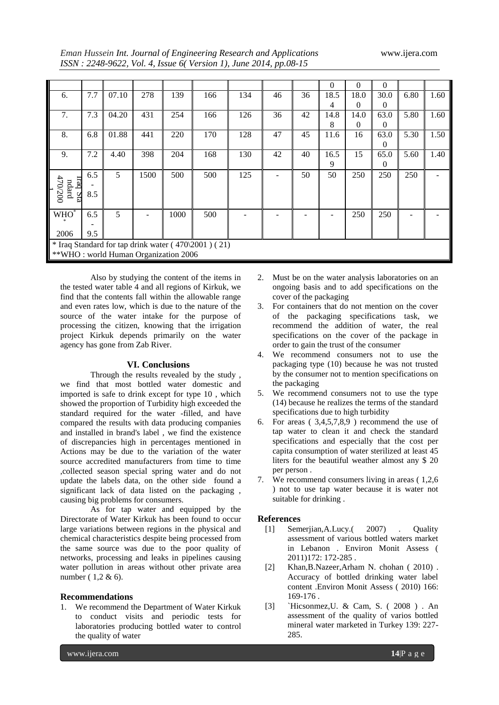*Eman Hussein Int. Journal of Engineering Research and Applications* www.ijera.com

|  | Eman Hussein Int. Journal of Engineering Research and Applications |
|--|--------------------------------------------------------------------|
|  | ISSN: 2248-9622, Vol. 4, Issue 6(Version 1), June 2014, pp.08-15   |

|                                       |     |       |      |      |                                                     |     |    |    | $\Omega$ | $\Omega$ | $\Omega$ |      |      |
|---------------------------------------|-----|-------|------|------|-----------------------------------------------------|-----|----|----|----------|----------|----------|------|------|
| 6.                                    | 7.7 | 07.10 | 278  | 139  | 166                                                 | 134 | 46 | 36 | 18.5     | 18.0     | 30.0     | 6.80 | 1.60 |
|                                       |     |       |      |      |                                                     |     |    |    | 4        | 0        | 0        |      |      |
| 7.                                    | 7.3 | 04.20 | 431  | 254  | 166                                                 | 126 | 36 | 42 | 14.8     | 14.0     | 63.0     | 5.80 | 1.60 |
|                                       |     |       |      |      |                                                     |     |    |    | 8        | $\Omega$ | 0        |      |      |
| 8.                                    | 6.8 | 01.88 | 441  | 220  | 170                                                 | 128 | 47 | 45 | 11.6     | 16       | 63.0     | 5.30 | 1.50 |
|                                       |     |       |      |      |                                                     |     |    |    |          |          | 0        |      |      |
| 9.                                    | 7.2 | 4.40  | 398  | 204  | 168                                                 | 130 | 42 | 40 | 16.5     | 15       | 65.0     | 5.60 | 1.40 |
|                                       |     |       |      |      |                                                     |     |    |    | 9        |          | $\Omega$ |      |      |
|                                       | 6.5 | 5     | 1500 | 500  | 500                                                 | 125 |    | 50 | 50       | 250      | 250      | 250  |      |
| <b>Trac</b><br>ndard                  |     |       |      |      |                                                     |     |    |    |          |          |          |      |      |
| 170/200<br>┟<br>$\overline{\text{M}}$ | 8.5 |       |      |      |                                                     |     |    |    |          |          |          |      |      |
|                                       |     |       |      |      |                                                     |     |    |    |          |          |          |      |      |
| $WHO^*$                               | 6.5 | 5     |      | 1000 | 500                                                 |     |    |    |          | 250      | 250      |      |      |
|                                       |     |       |      |      |                                                     |     |    |    |          |          |          |      |      |
| 2006                                  | 9.5 |       |      |      |                                                     |     |    |    |          |          |          |      |      |
|                                       |     |       |      |      | * Iraq Standard for tap drink water (470\2001) (21) |     |    |    |          |          |          |      |      |
| ** WHO: world Human Organization 2006 |     |       |      |      |                                                     |     |    |    |          |          |          |      |      |

Also by studying the content of the items in the tested water table 4 and all regions of Kirkuk, we find that the contents fall within the allowable range and even rates low, which is due to the nature of the source of the water intake for the purpose of processing the citizen, knowing that the irrigation project Kirkuk depends primarily on the water agency has gone from Zab River.

## **VI. Conclusions**

Through the results revealed by the study , we find that most bottled water domestic and imported is safe to drink except for type 10 , which showed the proportion of Turbidity high exceeded the standard required for the water -filled, and have compared the results with data producing companies and installed in brand's label , we find the existence of discrepancies high in percentages mentioned in Actions may be due to the variation of the water source accredited manufacturers from time to time ,collected season special spring water and do not update the labels data, on the other side found a significant lack of data listed on the packaging , causing big problems for consumers.

As for tap water and equipped by the Directorate of Water Kirkuk has been found to occur large variations between regions in the physical and chemical characteristics despite being processed from the same source was due to the poor quality of networks, processing and leaks in pipelines causing water pollution in areas without other private area number ( 1,2 & 6).

## **Recommendations**

1. We recommend the Department of Water Kirkuk to conduct visits and periodic tests for laboratories producing bottled water to control the quality of water

- 2. Must be on the water analysis laboratories on an ongoing basis and to add specifications on the cover of the packaging
- 3. For containers that do not mention on the cover of the packaging specifications task, we recommend the addition of water, the real specifications on the cover of the package in order to gain the trust of the consumer
- 4. We recommend consumers not to use the packaging type (10) because he was not trusted by the consumer not to mention specifications on the packaging
- 5. We recommend consumers not to use the type (14) because he realizes the terms of the standard specifications due to high turbidity
- 6. For areas  $(3,4,5,7,8,9)$  recommend the use of tap water to clean it and check the standard specifications and especially that the cost per capita consumption of water sterilized at least 45 liters for the beautiful weather almost any \$ 20 per person .
- 7. We recommend consumers living in areas ( 1,2,6 ) not to use tap water because it is water not suitable for drinking .

## **References**

- [1] Semerjian,A.Lucy.( 2007) . Quality assessment of various bottled waters market in Lebanon . Environ Monit Assess ( 2011)172: 172-285 .
- [2] Khan,B.Nazeer,Arham N. chohan ( 2010) . Accuracy of bottled drinking water label content .Environ Monit Assess ( 2010) 166: 169-176 .
- [3] `Hicsonmez,U. & Cam, S. ( 2008 ) . An assessment of the quality of varios bottled mineral water marketed in Turkey 139: 227- 285.